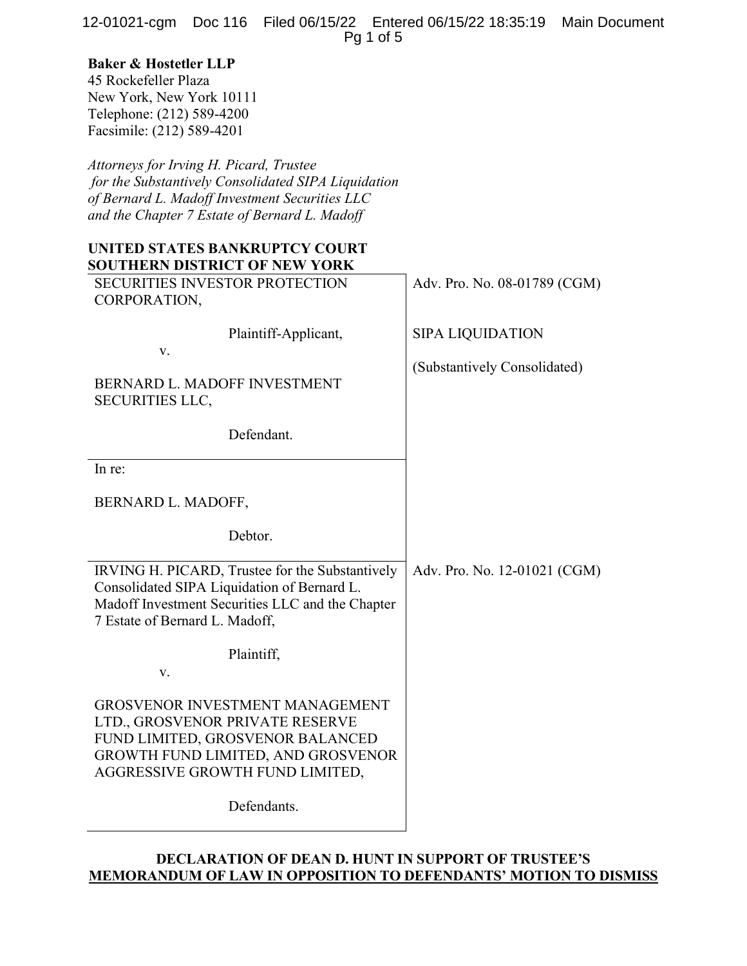12-01021-cgm Doc 116 Filed 06/15/22 Entered 06/15/22 18:35:19 Main Document Pg 1 of 5

# Baker & Hostetler LLP

45 Rockefeller Plaza New York, New York 10111 Telephone: (212) 589-4200 Facsimile: (212) 589-4201

Attorneys for Irving H. Picard, Trustee for the Substantively Consolidated SIPA Liquidation of Bernard L. Madoff Investment Securities LLC and the Chapter 7 Estate of Bernard L. Madoff

# UNITED STATES BANKRUPTCY COURT SOUTHERN DISTRICT OF NEW YORK

| <b>SECURITIES INVESTOR PROTECTION</b><br>CORPORATION,                                                                                                                                  | Adv. Pro. No. 08-01789 (CGM) |
|----------------------------------------------------------------------------------------------------------------------------------------------------------------------------------------|------------------------------|
| Plaintiff-Applicant,<br>V.                                                                                                                                                             | <b>SIPA LIQUIDATION</b>      |
| BERNARD L. MADOFF INVESTMENT<br><b>SECURITIES LLC,</b>                                                                                                                                 | (Substantively Consolidated) |
| Defendant.                                                                                                                                                                             |                              |
| In re:                                                                                                                                                                                 |                              |
| BERNARD L. MADOFF,                                                                                                                                                                     |                              |
| Debtor.                                                                                                                                                                                |                              |
| IRVING H. PICARD, Trustee for the Substantively<br>Consolidated SIPA Liquidation of Bernard L.<br>Madoff Investment Securities LLC and the Chapter<br>7 Estate of Bernard L. Madoff,   | Adv. Pro. No. 12-01021 (CGM) |
| Plaintiff,<br>V.                                                                                                                                                                       |                              |
| <b>GROSVENOR INVESTMENT MANAGEMENT</b><br>LTD., GROSVENOR PRIVATE RESERVE<br>FUND LIMITED, GROSVENOR BALANCED<br>GROWTH FUND LIMITED, AND GROSVENOR<br>AGGRESSIVE GROWTH FUND LIMITED, |                              |
| Defendants.                                                                                                                                                                            |                              |

## DECLARATION OF DEAN D. HUNT IN SUPPORT OF TRUSTEE'S MEMORANDUM OF LAW IN OPPOSITION TO DEFENDANTS' MOTION TO DISMISS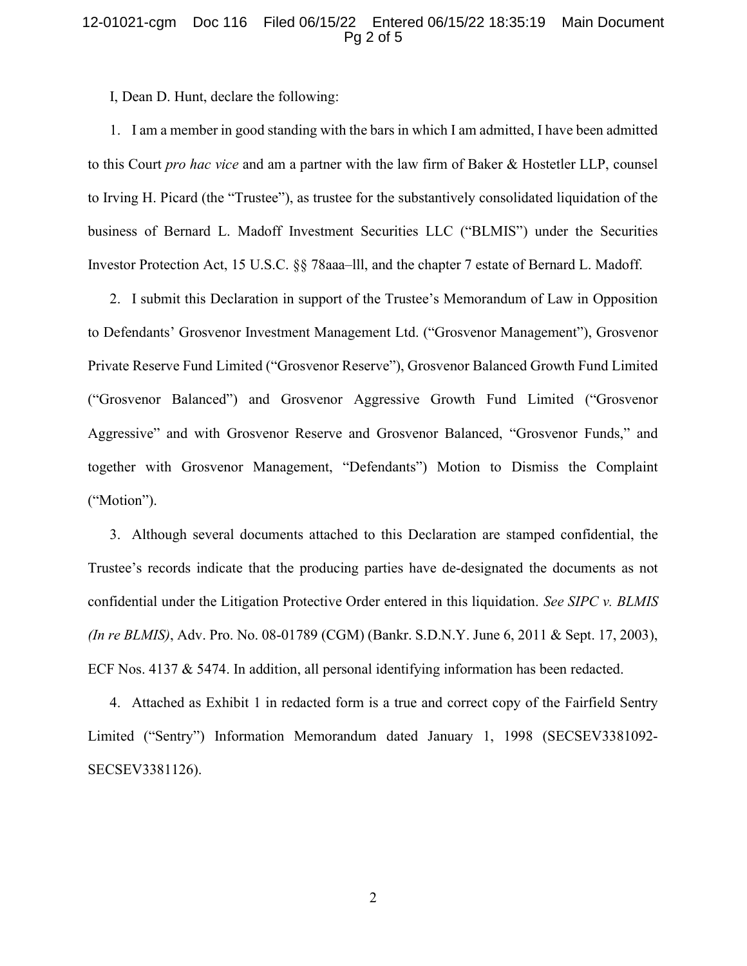### 12-01021-cgm Doc 116 Filed 06/15/22 Entered 06/15/22 18:35:19 Main Document Pg 2 of 5

I, Dean D. Hunt, declare the following:

1. I am a member in good standing with the bars in which I am admitted, I have been admitted to this Court pro hac vice and am a partner with the law firm of Baker & Hostetler LLP, counsel to Irving H. Picard (the "Trustee"), as trustee for the substantively consolidated liquidation of the business of Bernard L. Madoff Investment Securities LLC ("BLMIS") under the Securities Investor Protection Act, 15 U.S.C. §§ 78aaa–lll, and the chapter 7 estate of Bernard L. Madoff.

2. I submit this Declaration in support of the Trustee's Memorandum of Law in Opposition to Defendants' Grosvenor Investment Management Ltd. ("Grosvenor Management"), Grosvenor Private Reserve Fund Limited ("Grosvenor Reserve"), Grosvenor Balanced Growth Fund Limited ("Grosvenor Balanced") and Grosvenor Aggressive Growth Fund Limited ("Grosvenor Aggressive" and with Grosvenor Reserve and Grosvenor Balanced, "Grosvenor Funds," and together with Grosvenor Management, "Defendants") Motion to Dismiss the Complaint ("Motion").

3. Although several documents attached to this Declaration are stamped confidential, the Trustee's records indicate that the producing parties have de-designated the documents as not confidential under the Litigation Protective Order entered in this liquidation. See SIPC v. BLMIS (In re BLMIS), Adv. Pro. No. 08-01789 (CGM) (Bankr. S.D.N.Y. June 6, 2011 & Sept. 17, 2003), ECF Nos. 4137 & 5474. In addition, all personal identifying information has been redacted.

4. Attached as Exhibit 1 in redacted form is a true and correct copy of the Fairfield Sentry Limited ("Sentry") Information Memorandum dated January 1, 1998 (SECSEV3381092- SECSEV3381126).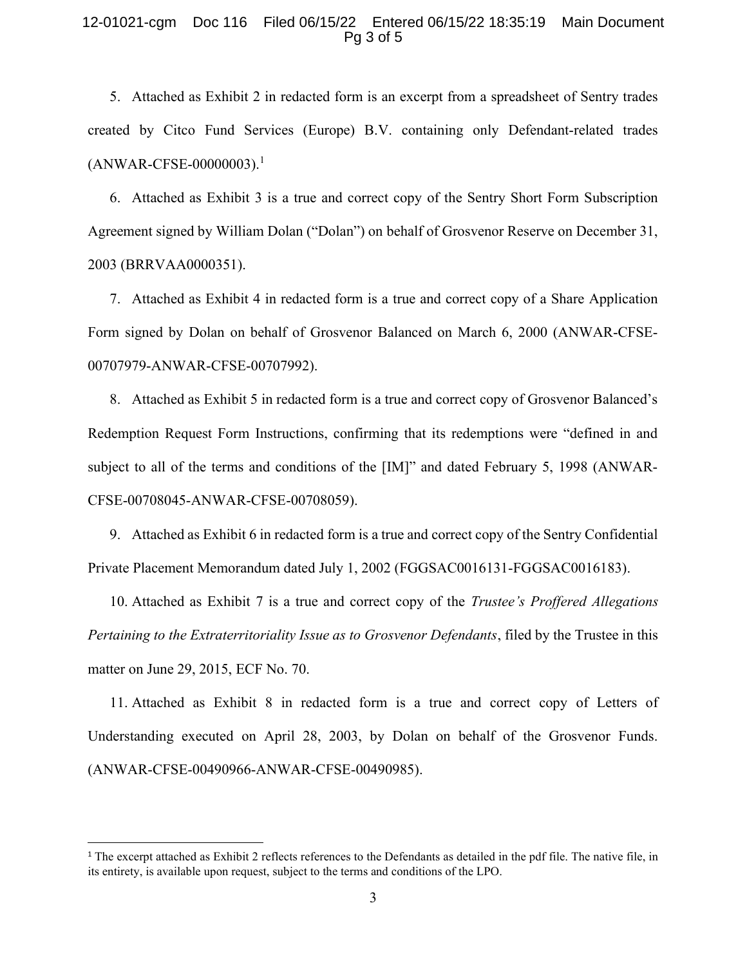#### 12-01021-cgm Doc 116 Filed 06/15/22 Entered 06/15/22 18:35:19 Main Document Pg 3 of 5

5. Attached as Exhibit 2 in redacted form is an excerpt from a spreadsheet of Sentry trades created by Citco Fund Services (Europe) B.V. containing only Defendant-related trades  $(ANWAR-CFSE-00000003).<sup>1</sup>$ 

6. Attached as Exhibit 3 is a true and correct copy of the Sentry Short Form Subscription Agreement signed by William Dolan ("Dolan") on behalf of Grosvenor Reserve on December 31, 2003 (BRRVAA0000351).

7. Attached as Exhibit 4 in redacted form is a true and correct copy of a Share Application Form signed by Dolan on behalf of Grosvenor Balanced on March 6, 2000 (ANWAR-CFSE-00707979-ANWAR-CFSE-00707992).

8. Attached as Exhibit 5 in redacted form is a true and correct copy of Grosvenor Balanced's Redemption Request Form Instructions, confirming that its redemptions were "defined in and subject to all of the terms and conditions of the [IM]" and dated February 5, 1998 (ANWAR-CFSE-00708045-ANWAR-CFSE-00708059).

9. Attached as Exhibit 6 in redacted form is a true and correct copy of the Sentry Confidential Private Placement Memorandum dated July 1, 2002 (FGGSAC0016131-FGGSAC0016183).

10. Attached as Exhibit 7 is a true and correct copy of the Trustee's Proffered Allegations Pertaining to the Extraterritoriality Issue as to Grosvenor Defendants, filed by the Trustee in this matter on June 29, 2015, ECF No. 70.

11. Attached as Exhibit 8 in redacted form is a true and correct copy of Letters of Understanding executed on April 28, 2003, by Dolan on behalf of the Grosvenor Funds. (ANWAR-CFSE-00490966-ANWAR-CFSE-00490985).

<sup>&</sup>lt;sup>1</sup> The excerpt attached as Exhibit 2 reflects references to the Defendants as detailed in the pdf file. The native file, in its entirety, is available upon request, subject to the terms and conditions of the LPO.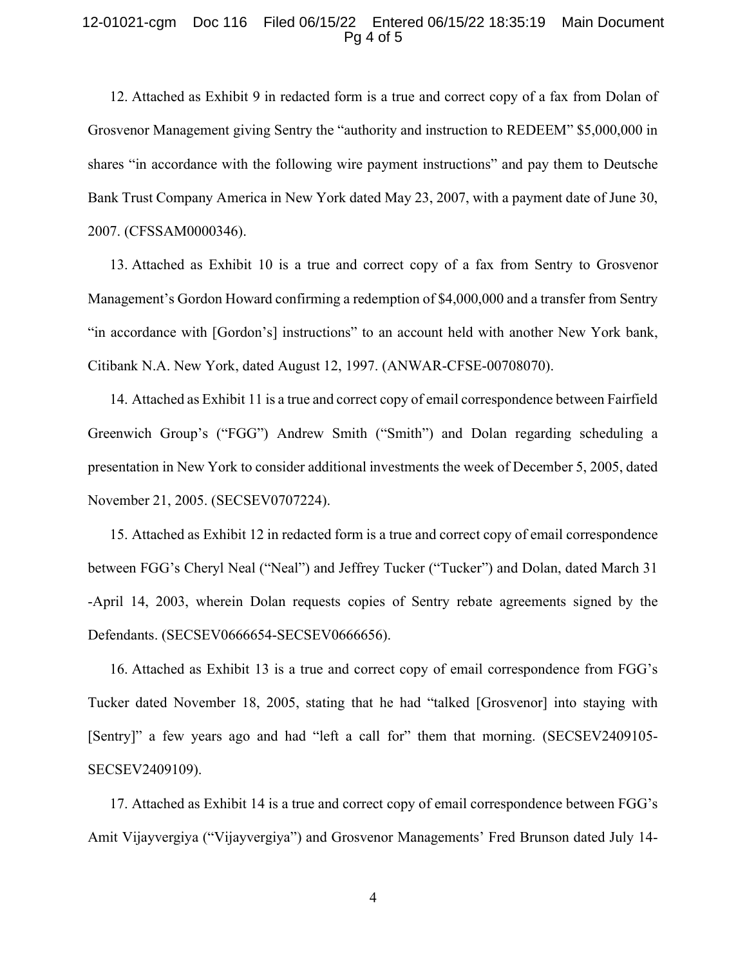#### 12-01021-cgm Doc 116 Filed 06/15/22 Entered 06/15/22 18:35:19 Main Document Pg 4 of 5

12. Attached as Exhibit 9 in redacted form is a true and correct copy of a fax from Dolan of Grosvenor Management giving Sentry the "authority and instruction to REDEEM" \$5,000,000 in shares "in accordance with the following wire payment instructions" and pay them to Deutsche Bank Trust Company America in New York dated May 23, 2007, with a payment date of June 30, 2007. (CFSSAM0000346).

13. Attached as Exhibit 10 is a true and correct copy of a fax from Sentry to Grosvenor Management's Gordon Howard confirming a redemption of \$4,000,000 and a transfer from Sentry "in accordance with [Gordon's] instructions" to an account held with another New York bank, Citibank N.A. New York, dated August 12, 1997. (ANWAR-CFSE-00708070).

14. Attached as Exhibit 11 is a true and correct copy of email correspondence between Fairfield Greenwich Group's ("FGG") Andrew Smith ("Smith") and Dolan regarding scheduling a presentation in New York to consider additional investments the week of December 5, 2005, dated November 21, 2005. (SECSEV0707224).

15. Attached as Exhibit 12 in redacted form is a true and correct copy of email correspondence between FGG's Cheryl Neal ("Neal") and Jeffrey Tucker ("Tucker") and Dolan, dated March 31 -April 14, 2003, wherein Dolan requests copies of Sentry rebate agreements signed by the Defendants. (SECSEV0666654-SECSEV0666656).

16. Attached as Exhibit 13 is a true and correct copy of email correspondence from FGG's Tucker dated November 18, 2005, stating that he had "talked [Grosvenor] into staying with [Sentry]" a few years ago and had "left a call for" them that morning. (SECSEV2409105-SECSEV2409109).

17. Attached as Exhibit 14 is a true and correct copy of email correspondence between FGG's Amit Vijayvergiya ("Vijayvergiya") and Grosvenor Managements' Fred Brunson dated July 14-